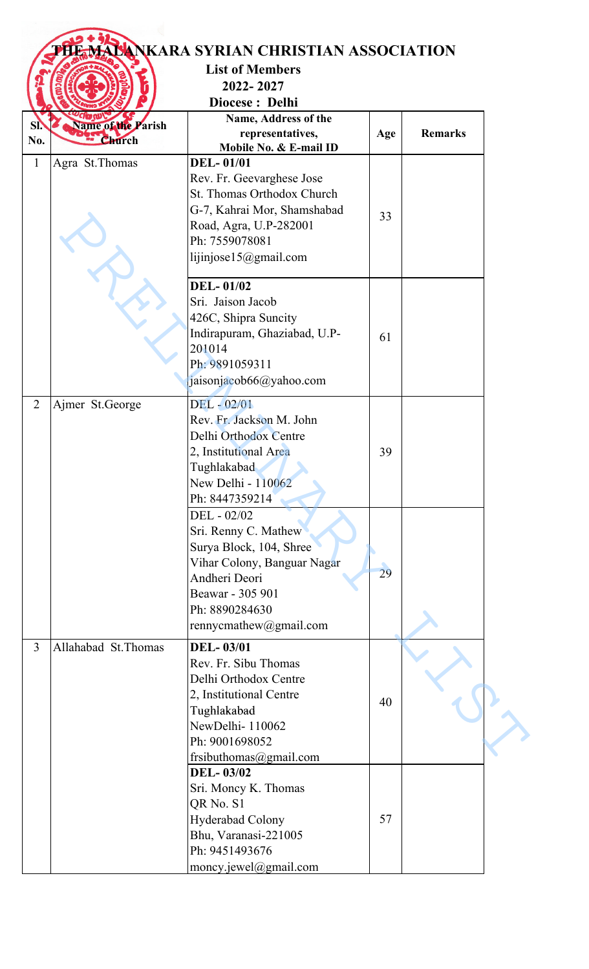|                |                                     | <b>ANKARA SYRIAN CHRISTIAN ASSOCIATION</b><br><b>List of Members</b><br>2022-2027 |     |                |
|----------------|-------------------------------------|-----------------------------------------------------------------------------------|-----|----------------|
|                |                                     | Diocese: Delhi                                                                    |     |                |
|                |                                     | Name, Address of the                                                              |     |                |
| SI.<br>No.     | <b>Name of the Parish</b><br>Church | representatives,                                                                  | Age | <b>Remarks</b> |
|                |                                     | Mobile No. & E-mail ID                                                            |     |                |
| $\mathbf{1}$   | Agra St. Thomas                     | <b>DEL-01/01</b>                                                                  |     |                |
|                |                                     | Rev. Fr. Geevarghese Jose                                                         |     |                |
|                |                                     | St. Thomas Orthodox Church                                                        |     |                |
|                |                                     | G-7, Kahrai Mor, Shamshabad<br>Road, Agra, U.P-282001                             | 33  |                |
|                |                                     | Ph: 7559078081                                                                    |     |                |
|                |                                     | lijinjose15@gmail.com                                                             |     |                |
|                |                                     |                                                                                   |     |                |
|                |                                     | <b>DEL-01/02</b>                                                                  |     |                |
|                |                                     | Sri. Jaison Jacob                                                                 |     |                |
|                |                                     | 426C, Shipra Suncity                                                              |     |                |
|                |                                     | Indirapuram, Ghaziabad, U.P-                                                      | 61  |                |
|                |                                     | 201014                                                                            |     |                |
|                |                                     | Ph: 9891059311                                                                    |     |                |
|                |                                     | jaisonjacob66@yahoo.com                                                           |     |                |
| $\overline{2}$ | Ajmer St.George                     | DEL - 02/01                                                                       |     |                |
|                |                                     | Rev. Fr. Jackson M. John                                                          |     |                |
|                |                                     | Delhi Orthodox Centre                                                             |     |                |
|                |                                     | 2, Institutional Area                                                             | 39  |                |
|                |                                     | Tughlakabad                                                                       |     |                |
|                |                                     | New Delhi - 110062                                                                |     |                |
|                |                                     | Ph: 8447359214<br>DEL - 02/02                                                     |     |                |
|                |                                     | Sri. Renny C. Mathew                                                              |     |                |
|                |                                     | Surya Block, 104, Shree                                                           |     |                |
|                |                                     | Vihar Colony, Banguar Nagar                                                       |     |                |
|                |                                     | Andheri Deori                                                                     | 29  |                |
|                |                                     | Beawar - 305 901                                                                  |     |                |
|                |                                     | Ph: 8890284630                                                                    |     |                |
|                |                                     | rennycmathew@gmail.com                                                            |     |                |
| $\overline{3}$ | Allahabad St. Thomas                | <b>DEL-03/01</b>                                                                  |     |                |
|                |                                     | Rev. Fr. Sibu Thomas                                                              |     |                |
|                |                                     | Delhi Orthodox Centre                                                             |     |                |
|                |                                     | 2, Institutional Centre                                                           | 40  |                |
|                |                                     | Tughlakabad                                                                       |     |                |
|                |                                     | NewDelhi-110062                                                                   |     |                |
|                |                                     | Ph: 9001698052                                                                    |     |                |
|                |                                     | frsibuthomas@gmail.com<br><b>DEL-03/02</b>                                        |     |                |
|                |                                     | Sri. Moncy K. Thomas                                                              |     |                |
|                |                                     | QR No. S1                                                                         |     |                |
|                |                                     | Hyderabad Colony                                                                  | 57  |                |
|                |                                     | Bhu, Varanasi-221005                                                              |     |                |
|                |                                     | Ph: 9451493676                                                                    |     |                |
|                |                                     | moncy.jewel@gmail.com                                                             |     |                |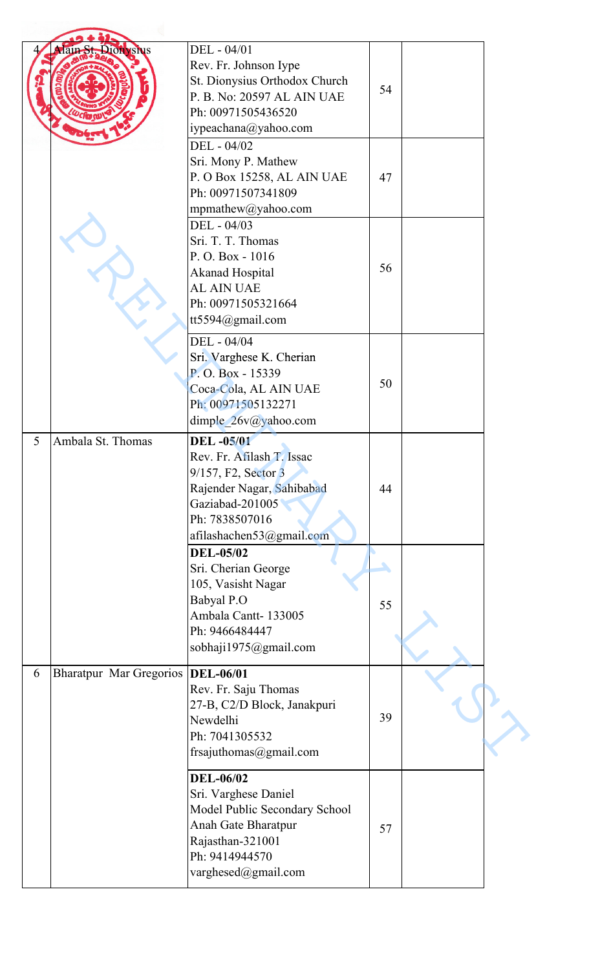|   | dain St. Dionysius             | DEL - 04/01<br>Rev. Fr. Johnson Iype<br>St. Dionysius Orthodox Church<br>P. B. No: 20597 AL AIN UAE<br>Ph: 00971505436520<br>iypeachana@yahoo.com<br>DEL - 04/02   | 54 |  |
|---|--------------------------------|--------------------------------------------------------------------------------------------------------------------------------------------------------------------|----|--|
|   |                                | Sri. Mony P. Mathew<br>P. O Box 15258, AL AIN UAE<br>Ph: 00971507341809<br>mpmathew@yahoo.com                                                                      | 47 |  |
|   |                                | DEL - 04/03<br>Sri. T. T. Thomas<br>P.O. Box - 1016<br><b>Akanad Hospital</b><br><b>AL AIN UAE</b><br>Ph: 00971505321664<br>tt5594@gmail.com                       | 56 |  |
|   |                                | DEL - 04/04<br>Sri. Varghese K. Cherian<br>P.O. Box - 15339<br>Coca-Cola, AL AIN UAE<br>Ph: 00971505132271<br>dimple 26v@yahoo.com                                 | 50 |  |
| 5 | Ambala St. Thomas              | <b>DEL-05/01</b><br>Rev. Fr. Afilash T. Issac<br>9/157, F2, Sector 3<br>Rajender Nagar, Sahibabad<br>Gaziabad-201005<br>Ph: 7838507016<br>afilashachen53@gmail.com | 44 |  |
|   |                                | <b>DEL-05/02</b><br>Sri. Cherian George<br>105, Vasisht Nagar<br>Babyal P.O<br>Ambala Cantt-133005<br>Ph: 9466484447<br>sobhaji1975@gmail.com                      | 55 |  |
| 6 | <b>Bharatpur Mar Gregorios</b> | <b>DEL-06/01</b><br>Rev. Fr. Saju Thomas<br>27-B, C2/D Block, Janakpuri<br>Newdelhi<br>Ph: 7041305532<br>frsajuthomas@gmail.com                                    | 39 |  |
|   |                                | <b>DEL-06/02</b><br>Sri. Varghese Daniel<br>Model Public Secondary School<br>Anah Gate Bharatpur<br>Rajasthan-321001<br>Ph: 9414944570<br>varghesed@gmail.com      | 57 |  |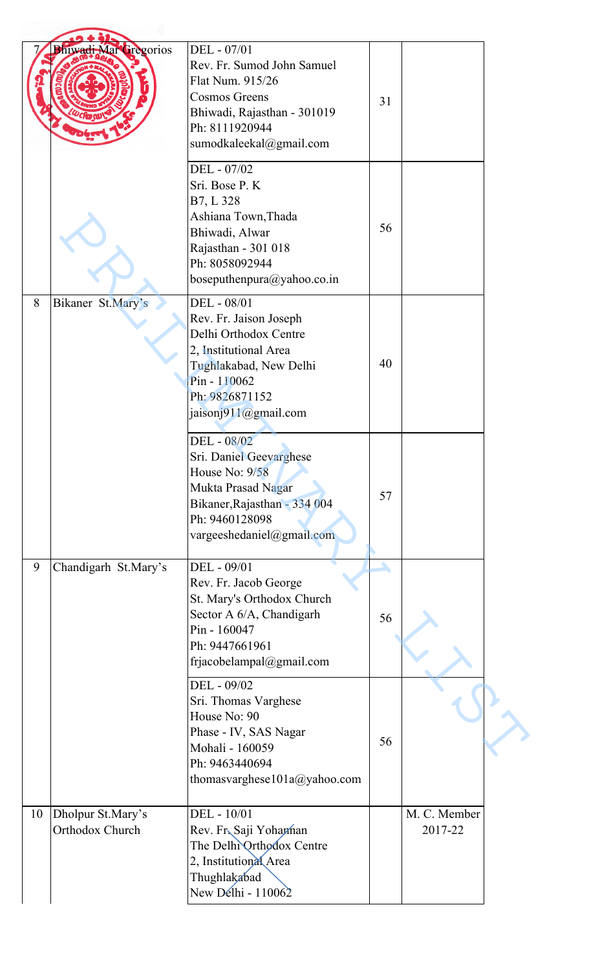| <b>Bhiwadi Mar Gregorios</b>               | DEL - 07/01<br>Rev. Fr. Sumod John Samuel<br>Flat Num. 915/26<br><b>Cosmos Greens</b><br>Bhiwadi, Rajasthan - 301019<br>Ph: 8111920944<br>sumodkaleekal@gmail.com           | 31 |                         |
|--------------------------------------------|-----------------------------------------------------------------------------------------------------------------------------------------------------------------------------|----|-------------------------|
|                                            | DEL - 07/02<br>Sri. Bose P. K<br>B7, L 328<br>Ashiana Town, Thada<br>Bhiwadi, Alwar<br>Rajasthan - 301 018<br>Ph: 8058092944<br>boseputhenpura@yahoo.co.in                  | 56 |                         |
| 8<br>Bikaner St.Mary's                     | DEL - 08/01<br>Rev. Fr. Jaison Joseph<br>Delhi Orthodox Centre<br>2, Institutional Area<br>Tughlakabad, New Delhi<br>Pin - 110062<br>Ph: 9826871152<br>jaisonj911@gmail.com | 40 |                         |
|                                            | DEL - 08/02<br>Sri. Daniel Geevarghese<br>House No: 9/58<br>Mukta Prasad Nagar<br>Bikaner, Rajasthan - 334 004<br>Ph: 9460128098<br>vargeeshedaniel@gmail.com               | 57 |                         |
| Chandigarh St.Mary's<br>9                  | DEL - 09/01<br>Rev. Fr. Jacob George<br>St. Mary's Orthodox Church<br>Sector A 6/A, Chandigarh<br>Pin - 160047<br>Ph: 9447661961<br>frjacobelampal@gmail.com                | 56 |                         |
|                                            | DEL - 09/02<br>Sri. Thomas Varghese<br>House No: 90<br>Phase - IV, SAS Nagar<br>Mohali - 160059<br>Ph: 9463440694<br>thomasvarghese101a@yahoo.com                           | 56 |                         |
| Dholpur St.Mary's<br>10<br>Orthodox Church | DEL - 10/01<br>Rev. Fr. Saji Yohaman<br>The Delhi Orthodox Centre<br>2, Institutional Area<br>Thughlakabad<br>New Delhi - 110062                                            |    | M. C. Member<br>2017-22 |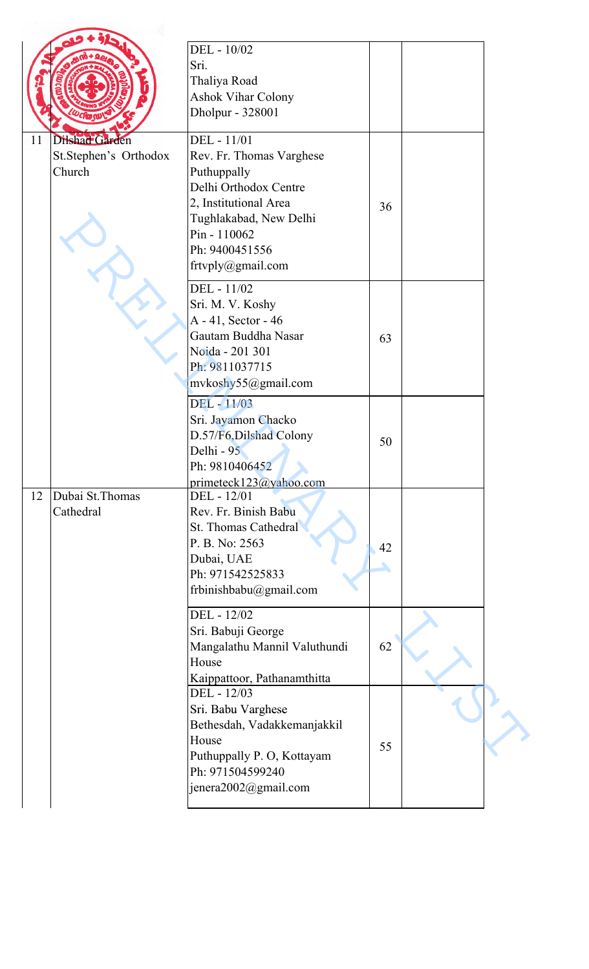|    |                                                   | DEL - 10/02<br>Sri.<br>Thaliya Road<br><b>Ashok Vihar Colony</b><br>Dholpur - 328001                                                                                                      |    |  |
|----|---------------------------------------------------|-------------------------------------------------------------------------------------------------------------------------------------------------------------------------------------------|----|--|
| 11 | Dilshad Garden<br>St.Stephen's Orthodox<br>Church | DEL - 11/01<br>Rev. Fr. Thomas Varghese<br>Puthuppally<br>Delhi Orthodox Centre<br>2, Institutional Area<br>Tughlakabad, New Delhi<br>Pin - 110062<br>Ph: 9400451556<br>frtvply@gmail.com | 36 |  |
|    |                                                   | DEL - 11/02<br>Sri. M. V. Koshy<br>A - 41, Sector - 46<br>Gautam Buddha Nasar<br>Noida - 201 301<br>Ph: 9811037715<br>mvkoshy55@gmail.com                                                 | 63 |  |
|    |                                                   | DEL - 11/03<br>Sri. Jayamon Chacko<br>D.57/F6, Dilshad Colony<br>Delhi - 95<br>Ph: 9810406452<br>primeteck123@yahoo.com                                                                   | 50 |  |
| 12 | Dubai St. Thomas<br>Cathedral                     | DEL - 12/01<br>Rev. Fr. Binish Babu<br><b>St. Thomas Cathedral</b><br>P. B. No: 2563<br>Dubai, UAE<br>Ph: 971542525833<br>frbinishbabu@gmail.com                                          | 42 |  |
|    |                                                   | DEL - 12/02<br>Sri. Babuji George<br>Mangalathu Mannil Valuthundi<br>House<br>Kaippattoor, Pathanamthitta                                                                                 | 62 |  |
|    |                                                   | DEL - 12/03<br>Sri. Babu Varghese<br>Bethesdah, Vadakkemanjakkil<br>House<br>Puthuppally P. O, Kottayam<br>Ph: 971504599240<br>jenera2002@gmail.com                                       | 55 |  |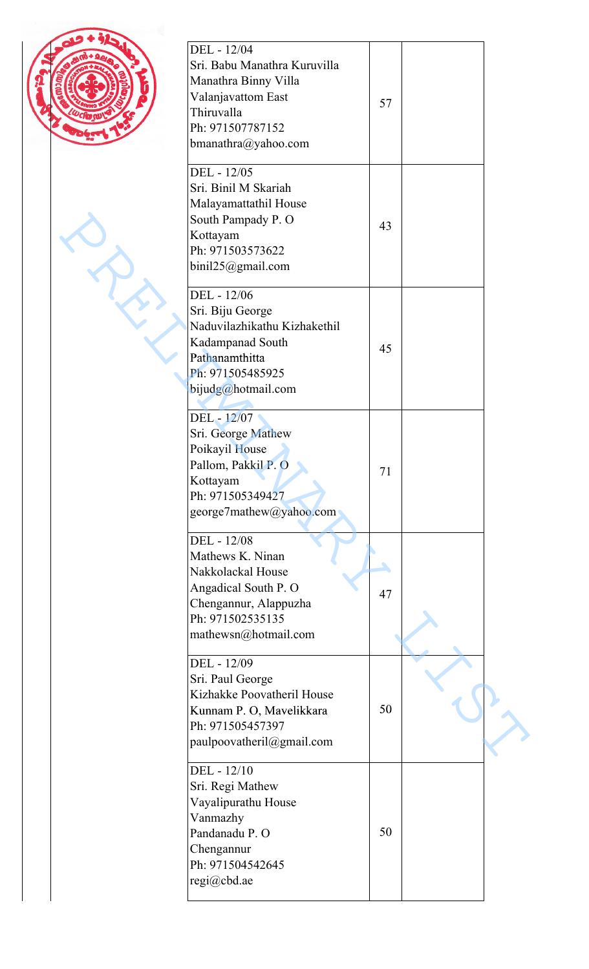| ۱ |
|---|
|   |

| DEL - 12/04<br>Sri. Babu Manathra Kuruvilla<br>Manathra Binny Villa<br>Valanjavattom East<br>Thiruvalla<br>Ph: 971507787152<br>bmanathra $@y$ ahoo.com    | 57 |  |
|-----------------------------------------------------------------------------------------------------------------------------------------------------------|----|--|
| DEL - 12/05<br>Sri. Binil M Skariah<br>Malayamattathil House<br>South Pampady P. O<br>Kottayam<br>Ph: 971503573622<br>binil25@gmail.com                   | 43 |  |
| DEL - 12/06<br>Sri. Biju George<br>Naduvilazhikathu Kizhakethil<br>Kadampanad South<br>Pathanamthitta<br>Ph: 971505485925<br>bijudg@hotmail.com           | 45 |  |
| DEL - 12/07<br>Sri. George Mathew<br>Poikayil House<br>Pallom, Pakkil P. O<br>Kottayam<br>Ph: 971505349427<br>george7mathew@yahoo.com                     | 71 |  |
| DEL - 12/08<br>Mathews K. Ninan<br>Nakkolackal House<br>Angadical South P. O<br>Chengannur, Alappuzha<br>Ph: 971502535135<br>mathewsn@hotmail.com         | 47 |  |
| DEL - 12/09<br>Sri. Paul George<br>Kizhakke Poovatheril House<br>Kunnam P. O, Mavelikkara<br>Ph: 971505457397<br>paulpoovatheril@gmail.com<br>DEL - 12/10 | 50 |  |
| Sri. Regi Mathew<br>Vayalipurathu House<br>Vanmazhy<br>Pandanadu P. O<br>Chengannur<br>Ph: 971504542645<br>regi@cbd.ae                                    | 50 |  |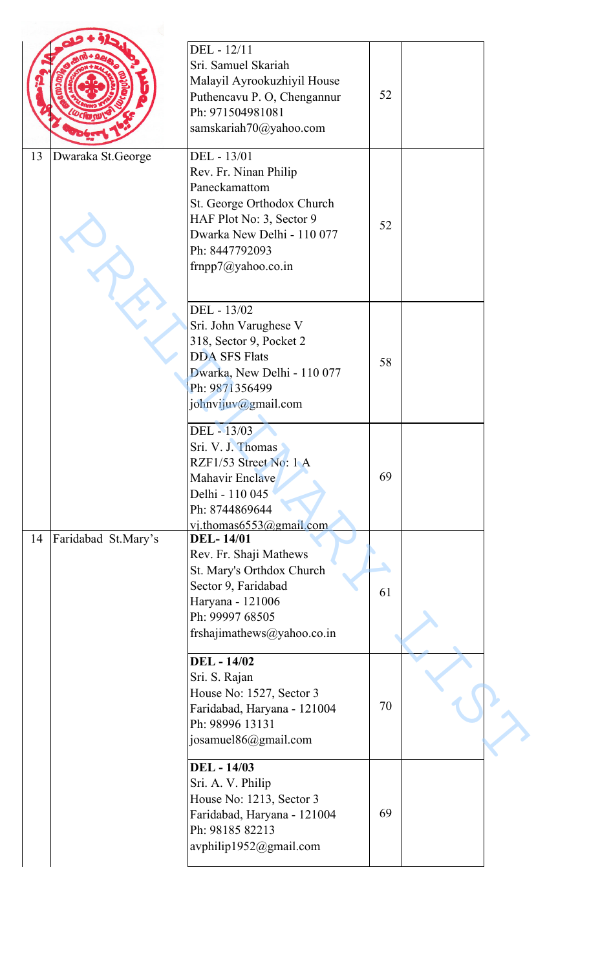|    |                     | DEL - 12/11<br>Sri. Samuel Skariah<br>Malayil Ayrookuzhiyil House<br>Puthencavu P. O, Chengannur<br>Ph: 971504981081<br>samskariah70@yahoo.com                                        | 52 |  |
|----|---------------------|---------------------------------------------------------------------------------------------------------------------------------------------------------------------------------------|----|--|
| 13 | Dwaraka St.George   | DEL - 13/01<br>Rev. Fr. Ninan Philip<br>Paneckamattom<br>St. George Orthodox Church<br>HAF Plot No: 3, Sector 9<br>Dwarka New Delhi - 110 077<br>Ph: 8447792093<br>frnpp7@yahoo.co.in | 52 |  |
|    |                     | DEL - 13/02<br>Sri. John Varughese V<br>318, Sector 9, Pocket 2<br><b>DDA SFS Flats</b><br>Dwarka, New Delhi - 110 077<br>Ph: 9871356499<br>johnvijuv@gmail.com                       | 58 |  |
|    |                     | DEL - 13/03<br>Sri. V. J. Thomas<br>RZF1/53 Street No: 1 A<br>Mahavir Enclave<br>Delhi - 110 045<br>Ph: 8744869644<br>vi.thomas6553@gmail.com                                         | 69 |  |
| 14 | Faridabad St.Mary's | <b>DEL-14/01</b><br>Rev. Fr. Shaji Mathews<br>St. Mary's Orthdox Church<br>Sector 9, Faridabad<br>Haryana - 121006<br>Ph: 99997 68505<br>frshajimathews@yahoo.co.in                   | 61 |  |
|    |                     | <b>DEL</b> - 14/02<br>Sri. S. Rajan<br>House No: 1527, Sector 3<br>Faridabad, Haryana - 121004<br>Ph: 98996 13131<br>josamuel86@gmail.com                                             | 70 |  |
|    |                     | <b>DEL</b> - 14/03<br>Sri. A. V. Philip<br>House No: 1213, Sector 3<br>Faridabad, Haryana - 121004<br>Ph: 98185 82213<br>avphilip1952@gmail.com                                       | 69 |  |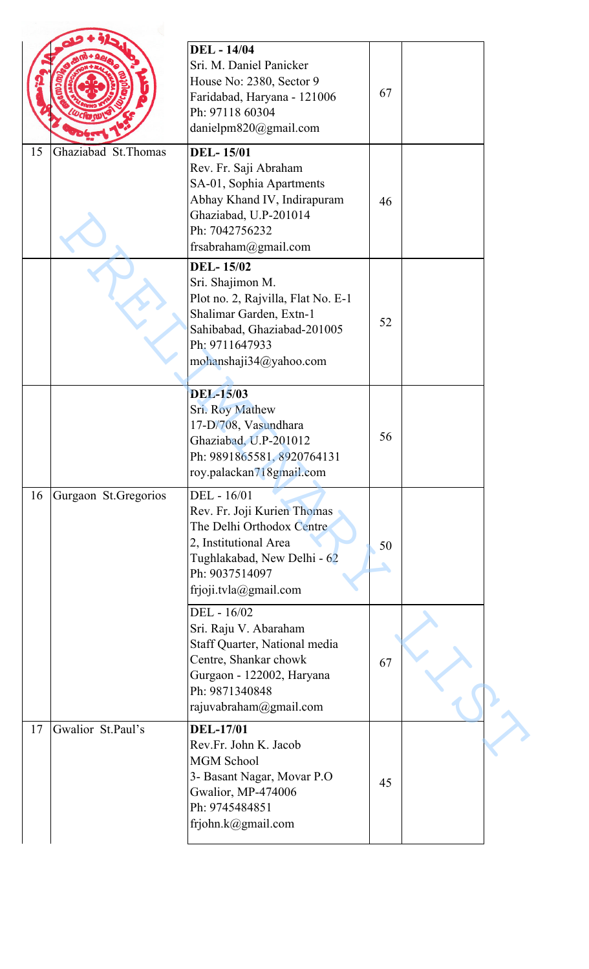|    |                       | <b>DEL</b> - 14/04<br>Sri. M. Daniel Panicker<br>House No: 2380, Sector 9<br>Faridabad, Haryana - 121006<br>Ph: 97118 60304<br>danielpm820@gmail.com                             | 67 |  |
|----|-----------------------|----------------------------------------------------------------------------------------------------------------------------------------------------------------------------------|----|--|
| 15 | Ghaziabad St. Thomas  | <b>DEL-15/01</b><br>Rev. Fr. Saji Abraham<br>SA-01, Sophia Apartments<br>Abhay Khand IV, Indirapuram<br>Ghaziabad, U.P-201014<br>Ph: 7042756232<br>frsabraham@gmail.com          | 46 |  |
|    |                       | <b>DEL-15/02</b><br>Sri. Shajimon M.<br>Plot no. 2, Rajvilla, Flat No. E-1<br>Shalimar Garden, Extn-1<br>Sahibabad, Ghaziabad-201005<br>Ph: 9711647933<br>mohanshaji34@yahoo.com | 52 |  |
|    |                       | <b>DEL-15/03</b><br>Sri. Roy Mathew<br>17-D/708, Vasundhara<br>Ghaziabad, U.P-201012<br>Ph: 9891865581, 8920764131<br>roy.palackan718gmail.com                                   | 56 |  |
| 16 | Gurgaon St. Gregorios | DEL - 16/01<br>Rev. Fr. Joji Kurien Thomas<br>The Delhi Orthodox Centre<br>2, Institutional Area<br>Tughlakabad, New Delhi - 62<br>Ph: 9037514097<br>frjoji.tvla@gmail.com       | 50 |  |
|    |                       | DEL - 16/02<br>Sri. Raju V. Abaraham<br>Staff Quarter, National media<br>Centre, Shankar chowk<br>Gurgaon - 122002, Haryana<br>Ph: 9871340848<br>rajuvabraham@gmail.com          | 67 |  |
| 17 | Gwalior St.Paul's     | <b>DEL-17/01</b><br>Rev.Fr. John K. Jacob<br><b>MGM School</b><br>3- Basant Nagar, Movar P.O<br>Gwalior, MP-474006<br>Ph: 9745484851<br>frjohn.k@gmail.com                       | 45 |  |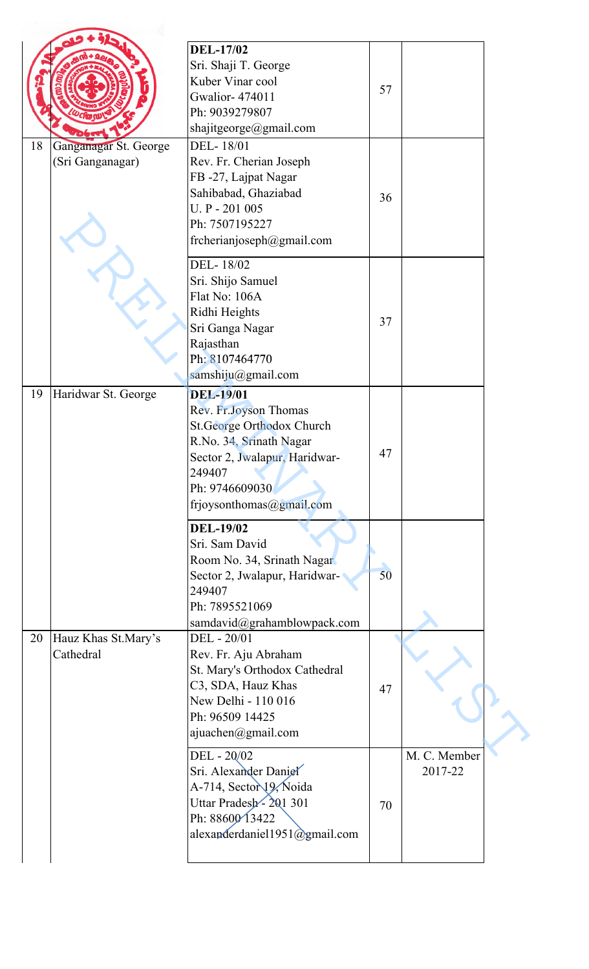| <b>DEL-17/02</b><br>Sri. Shaji T. George<br>Kuber Vinar cool<br>57<br><b>Gwalior-474011</b><br>Ph: 9039279807<br>shajitgeorge@gmail.com<br>Ganganagar St. George<br>DEL-18/01<br>(Sri Ganganagar)<br>Rev. Fr. Cherian Joseph<br>FB-27, Lajpat Nagar<br>Sahibabad, Ghaziabad<br>36<br>U. P - 201 005<br>Ph: 7507195227<br>frcherianjoseph@gmail.com<br>DEL-18/02<br>Sri. Shijo Samuel<br>Flat No: 106A<br>Ridhi Heights<br>37<br>Sri Ganga Nagar<br>Rajasthan<br>Ph: 8107464770<br>samshiju@gmail.com<br><b>DEL-19/01</b><br>Haridwar St. George<br>Rev. Fr. Joyson Thomas<br><b>St.George Orthodox Church</b><br>R.No. 34, Srinath Nagar<br>47<br>Sector 2, Jwalapur, Haridwar-<br>249407<br>Ph: 9746609030<br>frjoysonthomas@gmail.com<br><b>DEL-19/02</b><br>Sri. Sam David<br>Room No. 34, Srinath Nagar<br>50<br>Sector 2, Jwalapur, Haridwar-<br>249407<br>Ph: 7895521069<br>samdavid@grahamblowpack.com<br>Hauz Khas St.Mary's<br>DEL - 20/01<br>Cathedral<br>Rev. Fr. Aju Abraham<br>St. Mary's Orthodox Cathedral<br>C3, SDA, Hauz Khas<br>47<br>New Delhi - 110 016<br>Ph: 96509 14425<br>ajuachen@gmail.com<br>DEL - 20/02<br>M. C. Member<br>Sri. Alexander Daniel<br>2017-22<br>A-714, Sector 19, Noida<br>Uttar Pradesh-201 301<br>70 |    |                 |  |
|----------------------------------------------------------------------------------------------------------------------------------------------------------------------------------------------------------------------------------------------------------------------------------------------------------------------------------------------------------------------------------------------------------------------------------------------------------------------------------------------------------------------------------------------------------------------------------------------------------------------------------------------------------------------------------------------------------------------------------------------------------------------------------------------------------------------------------------------------------------------------------------------------------------------------------------------------------------------------------------------------------------------------------------------------------------------------------------------------------------------------------------------------------------------------------------------------------------------------------------------------|----|-----------------|--|
|                                                                                                                                                                                                                                                                                                                                                                                                                                                                                                                                                                                                                                                                                                                                                                                                                                                                                                                                                                                                                                                                                                                                                                                                                                                    |    |                 |  |
|                                                                                                                                                                                                                                                                                                                                                                                                                                                                                                                                                                                                                                                                                                                                                                                                                                                                                                                                                                                                                                                                                                                                                                                                                                                    | 18 |                 |  |
|                                                                                                                                                                                                                                                                                                                                                                                                                                                                                                                                                                                                                                                                                                                                                                                                                                                                                                                                                                                                                                                                                                                                                                                                                                                    |    |                 |  |
|                                                                                                                                                                                                                                                                                                                                                                                                                                                                                                                                                                                                                                                                                                                                                                                                                                                                                                                                                                                                                                                                                                                                                                                                                                                    | 19 |                 |  |
|                                                                                                                                                                                                                                                                                                                                                                                                                                                                                                                                                                                                                                                                                                                                                                                                                                                                                                                                                                                                                                                                                                                                                                                                                                                    |    |                 |  |
|                                                                                                                                                                                                                                                                                                                                                                                                                                                                                                                                                                                                                                                                                                                                                                                                                                                                                                                                                                                                                                                                                                                                                                                                                                                    | 20 |                 |  |
| alexanderdaniel1951@gmail.com                                                                                                                                                                                                                                                                                                                                                                                                                                                                                                                                                                                                                                                                                                                                                                                                                                                                                                                                                                                                                                                                                                                                                                                                                      |    | Ph: 88600 13422 |  |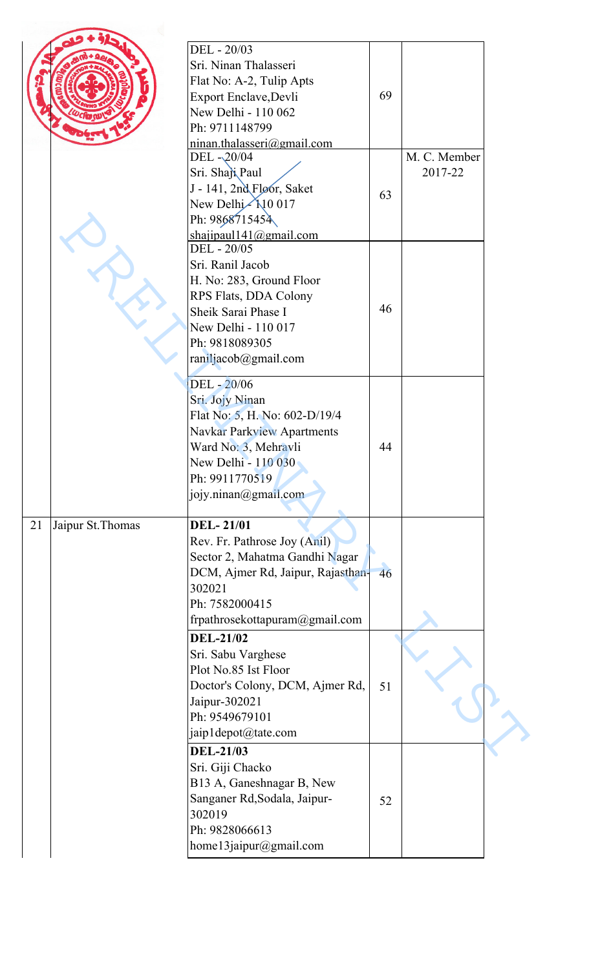|    |                   | DEL - 20/03<br>Sri. Ninan Thalasseri<br>Flat No: A-2, Tulip Apts<br>Export Enclave, Devli<br>New Delhi - 110 062<br>Ph: 9711148799<br>ninan.thalasseri@gmail.com                              | 69 |                         |  |
|----|-------------------|-----------------------------------------------------------------------------------------------------------------------------------------------------------------------------------------------|----|-------------------------|--|
|    |                   | DEL-20/04<br>Sri. Shaji Paul<br>J - 141, 2nd Floor, Saket<br>New Delhi 10 017<br>Ph: 9868715454<br>shajipaul 141@gmail.com                                                                    | 63 | M. C. Member<br>2017-22 |  |
|    |                   | DEL - 20/05<br>Sri. Ranil Jacob<br>H. No: 283, Ground Floor<br>RPS Flats, DDA Colony<br>Sheik Sarai Phase I<br>New Delhi - 110 017<br>Ph: 9818089305<br>raniljacob@gmail.com                  | 46 |                         |  |
|    |                   | DEL - 20/06<br>Sri. Jojy Ninan<br>Flat No: 5, H. No: 602-D/19/4<br><b>Navkar Parkview Apartments</b><br>Ward No: 3, Mehravli<br>New Delhi - 110 030<br>Ph: 9911770519<br>jojy.ninan@gmail.com | 44 |                         |  |
| 21 | Jaipur St. Thomas | <b>DEL-21/01</b><br>Rev. Fr. Pathrose Joy (Anil)<br>Sector 2, Mahatma Gandhi Nagar<br>DCM, Ajmer Rd, Jaipur, Rajasthan-<br>302021<br>Ph: 7582000415<br>frpathrosekottapuram@gmail.com         | 46 |                         |  |
|    |                   | <b>DEL-21/02</b><br>Sri. Sabu Varghese<br>Plot No.85 Ist Floor<br>Doctor's Colony, DCM, Ajmer Rd,<br>Jaipur-302021<br>Ph: 9549679101<br>jaip1depot@tate.com                                   | 51 |                         |  |
|    |                   | <b>DEL-21/03</b><br>Sri. Giji Chacko<br>B13 A, Ganeshnagar B, New<br>Sanganer Rd, Sodala, Jaipur-<br>302019<br>Ph: 9828066613<br>home13jaipur@gmail.com                                       | 52 |                         |  |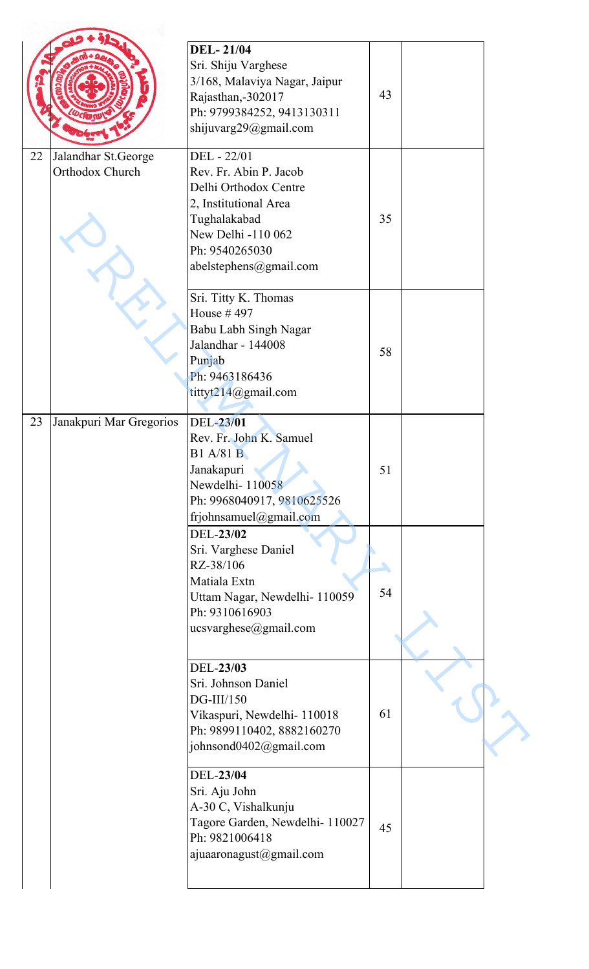|    |                                        | <b>DEL-21/04</b><br>Sri. Shiju Varghese<br>3/168, Malaviya Nagar, Jaipur<br>Rajasthan,-302017<br>Ph: 9799384252, 9413130311<br>shijuvarg29@gmail.com                      | 43 |  |
|----|----------------------------------------|---------------------------------------------------------------------------------------------------------------------------------------------------------------------------|----|--|
| 22 | Jalandhar St.George<br>Orthodox Church | DEL - 22/01<br>Rev. Fr. Abin P. Jacob<br>Delhi Orthodox Centre<br>2, Institutional Area<br>Tughalakabad<br>New Delhi -110 062<br>Ph: 9540265030<br>abelstephens@gmail.com | 35 |  |
|    |                                        | Sri. Titty K. Thomas<br>House #497<br>Babu Labh Singh Nagar<br>Jalandhar - 144008<br>Punjab<br>Ph: 9463186436<br>tittyt214@gmail.com                                      | 58 |  |
| 23 | Janakpuri Mar Gregorios                | DEL-23/01<br>Rev. Fr. John K. Samuel<br><b>B1</b> A/81 <sup>B</sup><br>Janakapuri<br>Newdelhi-110058<br>Ph: 9968040917, 9810625526<br>frjohnsamuel@gmail.com              | 51 |  |
|    |                                        | DEL-23/02<br>Sri. Varghese Daniel<br>RZ-38/106<br>Matiala Extn<br>Uttam Nagar, Newdelhi- 110059<br>Ph: 9310616903<br>ucsvarghese@gmail.com                                | 54 |  |
|    |                                        | DEL-23/03<br>Sri. Johnson Daniel<br>$DG$ -III/150<br>Vikaspuri, Newdelhi- 110018<br>Ph: 9899110402, 8882160270<br>johnsond0402@gmail.com                                  | 61 |  |
|    |                                        | DEL-23/04<br>Sri. Aju John<br>A-30 C, Vishalkunju<br>Tagore Garden, Newdelhi- 110027<br>Ph: 9821006418<br>ajuaaronagust@gmail.com                                         | 45 |  |
|    |                                        |                                                                                                                                                                           |    |  |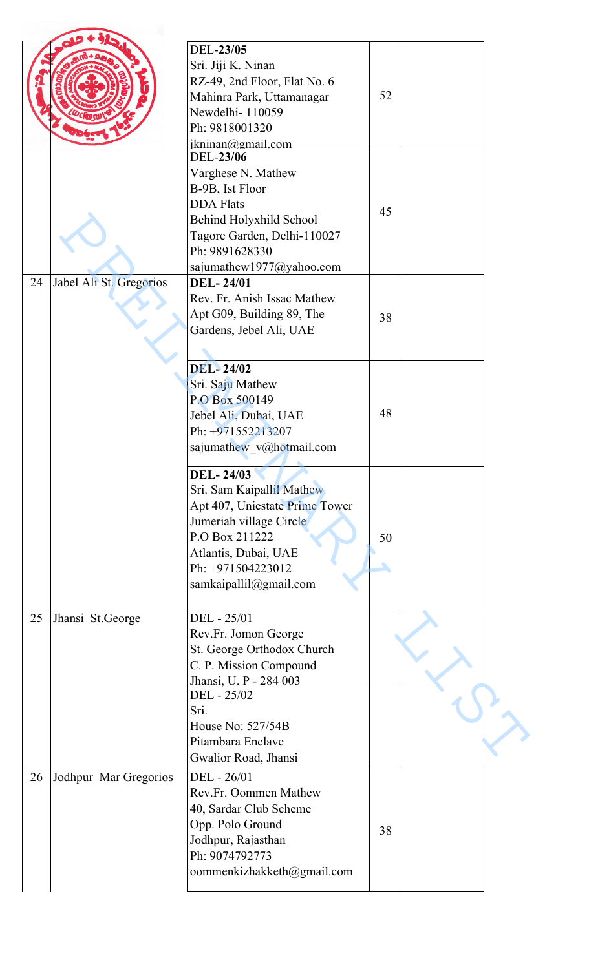|    |                         | DEL-23/05                      |    |  |
|----|-------------------------|--------------------------------|----|--|
|    |                         | Sri. Jiji K. Ninan             |    |  |
|    |                         |                                |    |  |
|    |                         | RZ-49, 2nd Floor, Flat No. 6   |    |  |
|    |                         | Mahinra Park, Uttamanagar      | 52 |  |
|    |                         | Newdelhi-110059                |    |  |
|    |                         | Ph: 9818001320                 |    |  |
|    |                         | ikninan@gmail.com              |    |  |
|    |                         | DEL-23/06                      |    |  |
|    |                         | Varghese N. Mathew             |    |  |
|    |                         | B-9B, Ist Floor                |    |  |
|    |                         | <b>DDA Flats</b>               |    |  |
|    |                         |                                | 45 |  |
|    |                         | Behind Holyxhild School        |    |  |
|    |                         | Tagore Garden, Delhi-110027    |    |  |
|    |                         | Ph: 9891628330                 |    |  |
|    |                         | sajumathew1977@yahoo.com       |    |  |
| 24 | Jabel Ali St. Gregorios | <b>DEL-24/01</b>               |    |  |
|    |                         | Rev. Fr. Anish Issac Mathew    |    |  |
|    |                         | Apt G09, Building 89, The      | 38 |  |
|    |                         | Gardens, Jebel Ali, UAE        |    |  |
|    |                         |                                |    |  |
|    |                         |                                |    |  |
|    |                         | <b>DEL-24/02</b>               |    |  |
|    |                         | Sri. Saju Mathew               |    |  |
|    |                         | P.O Box 500149                 |    |  |
|    |                         | Jebel Ali, Dubai, UAE          | 48 |  |
|    |                         | Ph: +971552213207              |    |  |
|    |                         |                                |    |  |
|    |                         | sajumathew_v@hotmail.com       |    |  |
|    |                         | <b>DEL-24/03</b>               |    |  |
|    |                         |                                |    |  |
|    |                         | Sri. Sam Kaipallil Mathew      |    |  |
|    |                         | Apt 407, Uniestate Prime Tower |    |  |
|    |                         | Jumeriah village Circle        |    |  |
|    |                         | P.O Box 211222                 | 50 |  |
|    |                         | Atlantis, Dubai, UAE           |    |  |
|    |                         | Ph: +971504223012              |    |  |
|    |                         | samkaipallil@gmail.com         |    |  |
|    |                         |                                |    |  |
| 25 | Jhansi St.George        | DEL - 25/01                    |    |  |
|    |                         |                                |    |  |
|    |                         | Rev.Fr. Jomon George           |    |  |
|    |                         | St. George Orthodox Church     |    |  |
|    |                         | C. P. Mission Compound         |    |  |
|    |                         | Jhansi, U. P - 284 003         |    |  |
|    |                         | DEL - 25/02                    |    |  |
|    |                         | Sri.                           |    |  |
|    |                         | House No: 527/54B              |    |  |
|    |                         | Pitambara Enclave              |    |  |
|    |                         | Gwalior Road, Jhansi           |    |  |
|    |                         |                                |    |  |
| 26 | Jodhpur Mar Gregorios   | DEL - 26/01                    |    |  |
|    |                         | Rev.Fr. Oommen Mathew          |    |  |
|    |                         | 40, Sardar Club Scheme         |    |  |
|    |                         | Opp. Polo Ground               | 38 |  |
|    |                         | Jodhpur, Rajasthan             |    |  |
|    |                         | Ph: 9074792773                 |    |  |
|    |                         | oommenkizhakketh@gmail.com     |    |  |
|    |                         |                                |    |  |
|    |                         |                                |    |  |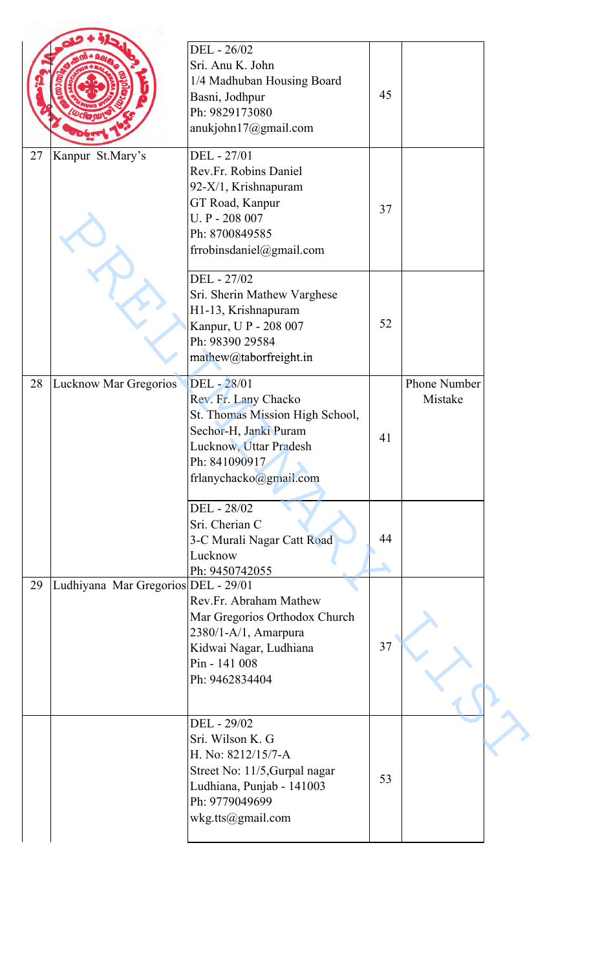|    |                                     | DEL - 26/02<br>Sri. Anu K. John<br>1/4 Madhuban Housing Board<br>Basni, Jodhpur<br>Ph: 9829173080<br>anukjohn17@gmail.com                                            | 45 |                         |
|----|-------------------------------------|----------------------------------------------------------------------------------------------------------------------------------------------------------------------|----|-------------------------|
| 27 | Kanpur St.Mary's                    | DEL - 27/01<br>Rev.Fr. Robins Daniel<br>92-X/1, Krishnapuram<br>GT Road, Kanpur<br>U. P - 208 007<br>Ph: 8700849585<br>frrobinsdaniel@gmail.com                      | 37 |                         |
|    |                                     | DEL - 27/02<br>Sri. Sherin Mathew Varghese<br>H1-13, Krishnapuram<br>Kanpur, U P - 208 007<br>Ph: 98390 29584<br>mathew@taborfreight.in                              | 52 |                         |
| 28 | Lucknow Mar Gregorios               | DEL - 28/01<br>Rev. Fr. Lany Chacko<br>St. Thomas Mission High School,<br>Sechor-H, Janki Puram<br>Lucknow, Uttar Pradesh<br>Ph: 841090917<br>frlanychacko@gmail.com | 41 | Phone Number<br>Mistake |
|    |                                     | DEL - 28/02<br>Sri. Cherian C<br>3-C Murali Nagar Catt Road<br>Lucknow<br>Ph: 9450742055                                                                             | 44 |                         |
| 29 | Ludhiyana Mar Gregorios DEL - 29/01 | Rev.Fr. Abraham Mathew<br>Mar Gregorios Orthodox Church<br>2380/1-A/1, Amarpura<br>Kidwai Nagar, Ludhiana<br>Pin - 141 008<br>Ph: 9462834404                         | 37 |                         |
|    |                                     | DEL - 29/02<br>Sri. Wilson K. G<br>H. No: 8212/15/7-A<br>Street No: 11/5, Gurpal nagar<br>Ludhiana, Punjab - 141003<br>Ph: 9779049699<br>wkg.tts@gmail.com           | 53 |                         |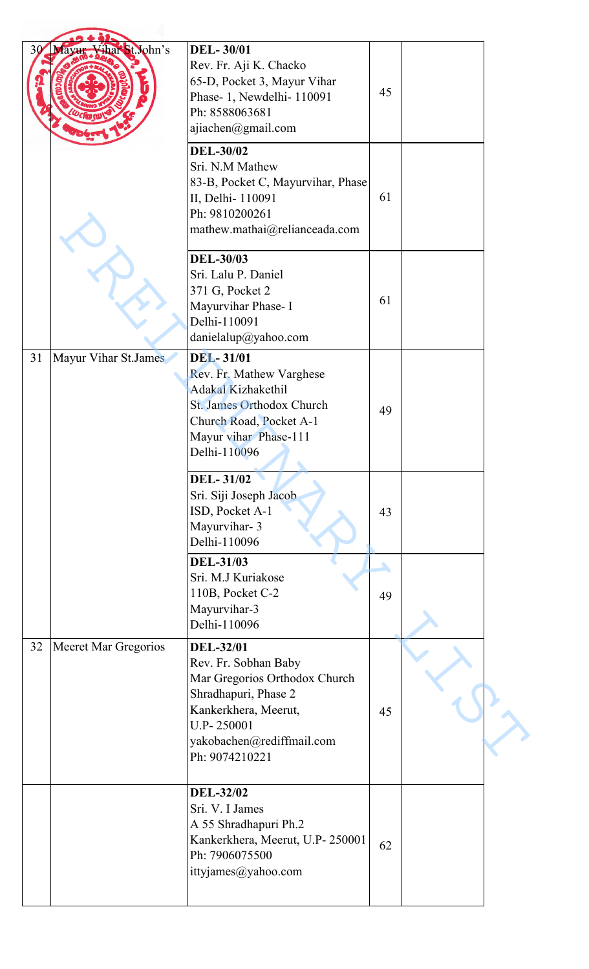| 30 | Mayur Vihar St. John's      | <b>DEL-30/01</b><br>Rev. Fr. Aji K. Chacko<br>65-D, Pocket 3, Mayur Vihar<br>Phase-1, Newdelhi-110091<br>Ph: 8588063681<br>ajiachen@gmail.com                                          | 45                     |  |
|----|-----------------------------|----------------------------------------------------------------------------------------------------------------------------------------------------------------------------------------|------------------------|--|
|    |                             | <b>DEL-30/02</b><br>Sri. N.M Mathew<br>83-B, Pocket C, Mayurvihar, Phase<br>II, Delhi- 110091<br>Ph: 9810200261<br>mathew.mathai@relianceada.com                                       | 61                     |  |
|    |                             | <b>DEL-30/03</b><br>Sri. Lalu P. Daniel<br>371 G, Pocket 2<br>Mayurvihar Phase- I<br>Delhi-110091<br>danielalup@yahoo.com                                                              | 61                     |  |
| 31 | Mayur Vihar St.James        | <b>DEL-31/01</b><br>Rev. Fr. Mathew Varghese<br><b>Adakal Kizhakethil</b><br>St. James Orthodox Church<br>Church Road, Pocket A-1<br>Mayur vihar Phase-111<br>Delhi-110096             | 49                     |  |
|    |                             | <b>DEL-31/02</b><br>Sri. Siji Joseph Jacob<br>ISD, Pocket A-1<br>Mayurvihar- 3<br>Delhi-110096                                                                                         | 43                     |  |
|    |                             | <b>DEL-31/03</b><br>Sri. M.J Kuriakose<br>110B, Pocket C-2<br>Mayurvihar-3<br>Delhi-110096                                                                                             | $\blacktriangle$<br>49 |  |
| 32 | <b>Meeret Mar Gregorios</b> | <b>DEL-32/01</b><br>Rev. Fr. Sobhan Baby<br>Mar Gregorios Orthodox Church<br>Shradhapuri, Phase 2<br>Kankerkhera, Meerut,<br>U.P-250001<br>yakobachen@rediffmail.com<br>Ph: 9074210221 | 45                     |  |
|    |                             | <b>DEL-32/02</b><br>Sri. V. I James<br>A 55 Shradhapuri Ph.2<br>Kankerkhera, Meerut, U.P- 250001<br>Ph: 7906075500<br>ittyjames@yahoo.com                                              | 62                     |  |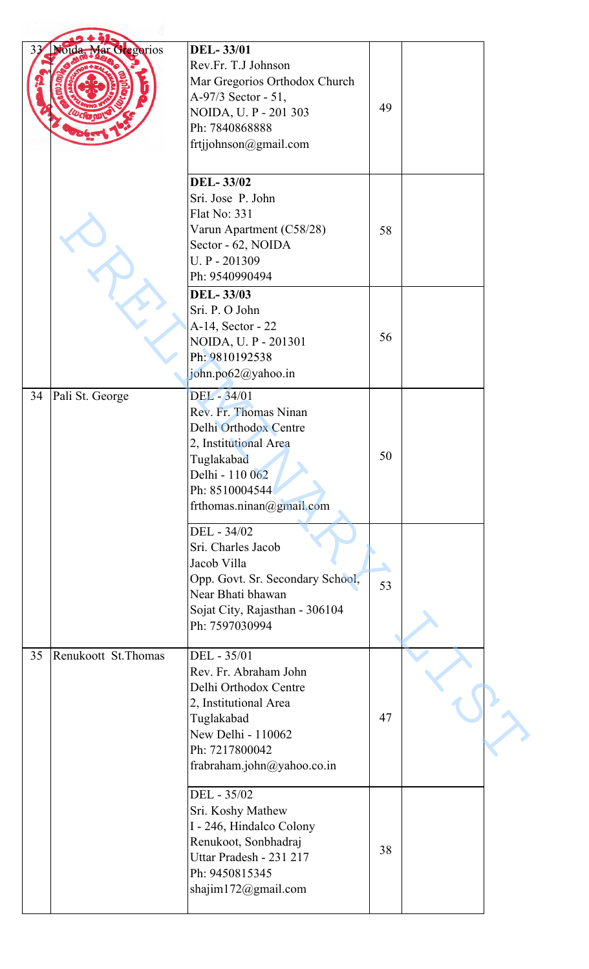| 33 | Noida Mar Gregorios  | <b>DEL-33/01</b><br>Rev.Fr. T.J Johnson<br>Mar Gregorios Orthodox Church<br>A-97/3 Sector - 51,<br>NOIDA, U. P - 201 303<br>Ph: 7840868888<br>frtjjohnson@gmail.com        | 49 |  |
|----|----------------------|----------------------------------------------------------------------------------------------------------------------------------------------------------------------------|----|--|
|    |                      | <b>DEL-33/02</b><br>Sri. Jose P. John<br><b>Flat No: 331</b><br>Varun Apartment (C58/28)<br>Sector - 62, NOIDA<br>U.P - 201309<br>Ph: 9540990494                           | 58 |  |
|    |                      | <b>DEL-33/03</b><br>Sri. P. O John<br>A-14, Sector - 22<br>NOIDA, U. P - 201301<br>Ph: 9810192538<br>john.po62@yahoo.in                                                    | 56 |  |
| 34 | Pali St. George      | DEL - 34/01<br>Rev. Fr. Thomas Ninan<br>Delhi Orthodox Centre<br>2, Institutional Area<br>Tuglakabad<br>Delhi - 110 062<br>Ph: 8510004544<br>frthomas.ninan@gmail.com      | 50 |  |
|    |                      | DEL - 34/02<br>Sri. Charles Jacob<br>Jacob Villa<br>Opp. Govt. Sr. Secondary School,<br>Near Bhati bhawan<br>Sojat City, Rajasthan - 306104<br>Ph: 7597030994              | 53 |  |
| 35 | Renukoott St. Thomas | DEL - 35/01<br>Rev. Fr. Abraham John<br>Delhi Orthodox Centre<br>2, Institutional Area<br>Tuglakabad<br>New Delhi - 110062<br>Ph: 7217800042<br>frabraham.john@yahoo.co.in | 47 |  |
|    |                      | DEL - 35/02<br>Sri. Koshy Mathew<br>I - 246, Hindalco Colony<br>Renukoot, Sonbhadraj<br>Uttar Pradesh - 231 217<br>Ph: 9450815345<br>shajim172@gmail.com                   | 38 |  |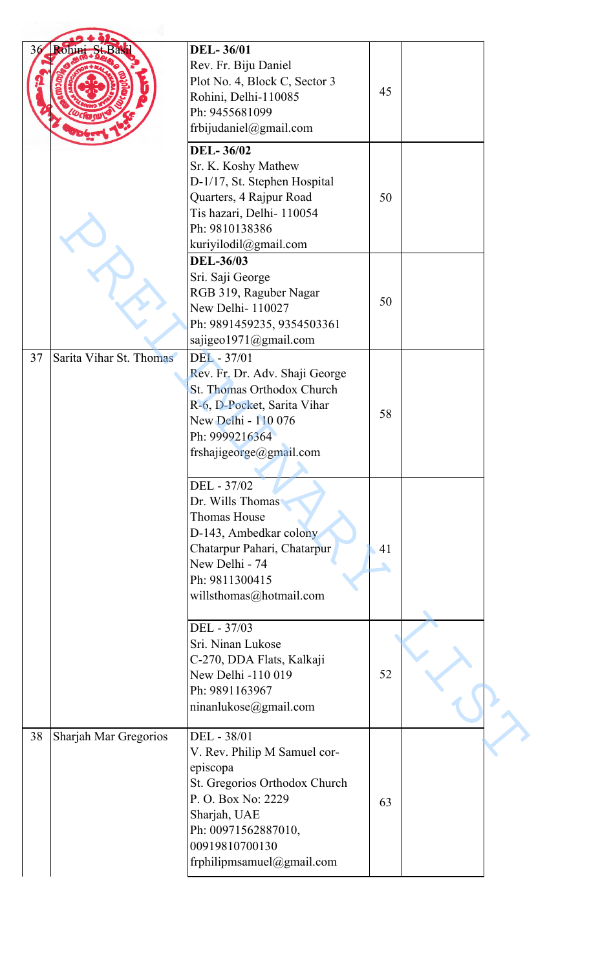| 36 | Rohini St.Bas           | <b>DEL-36/01</b><br>Rev. Fr. Biju Daniel<br>Plot No. 4, Block C, Sector 3<br>Rohini, Delhi-110085<br>Ph: 9455681099<br>frbijudaniel@gmail.com                                                        | 45       |  |
|----|-------------------------|------------------------------------------------------------------------------------------------------------------------------------------------------------------------------------------------------|----------|--|
|    |                         | <b>DEL-36/02</b><br>Sr. K. Koshy Mathew<br>D-1/17, St. Stephen Hospital<br>Quarters, 4 Rajpur Road<br>Tis hazari, Delhi- 110054<br>Ph: 9810138386<br>kuriyilodil@gmail.com                           | 50       |  |
|    |                         | <b>DEL-36/03</b><br>Sri. Saji George<br>RGB 319, Raguber Nagar<br>New Delhi- 110027<br>Ph: 9891459235, 9354503361<br>sajigeo1971@gmail.com                                                           | 50       |  |
| 37 | Sarita Vihar St. Thomas | DEL - 37/01<br>Rev. Fr. Dr. Adv. Shaji George<br>St. Thomas Orthodox Church<br>R-6, D-Pocket, Sarita Vihar<br>New Delhi - 110 076<br>Ph: 9999216364<br>frshajigeorge@gmail.com                       | 58       |  |
|    |                         | DEL - 37/02<br>Dr. Wills Thomas<br><b>Thomas House</b><br>D-143, Ambedkar colony<br>Chatarpur Pahari, Chatarpur<br>New Delhi - 74<br>Ph: 9811300415<br>willsthomas@hotmail.com                       | 41<br>۹. |  |
|    |                         | DEL - 37/03<br>Sri. Ninan Lukose<br>C-270, DDA Flats, Kalkaji<br>New Delhi -110 019<br>Ph: 9891163967<br>ninanlukose@gmail.com                                                                       | 52       |  |
| 38 | Sharjah Mar Gregorios   | DEL - 38/01<br>V. Rev. Philip M Samuel cor-<br>episcopa<br>St. Gregorios Orthodox Church<br>P. O. Box No: 2229<br>Sharjah, UAE<br>Ph: 00971562887010,<br>00919810700130<br>frphilipmsamuel@gmail.com | 63       |  |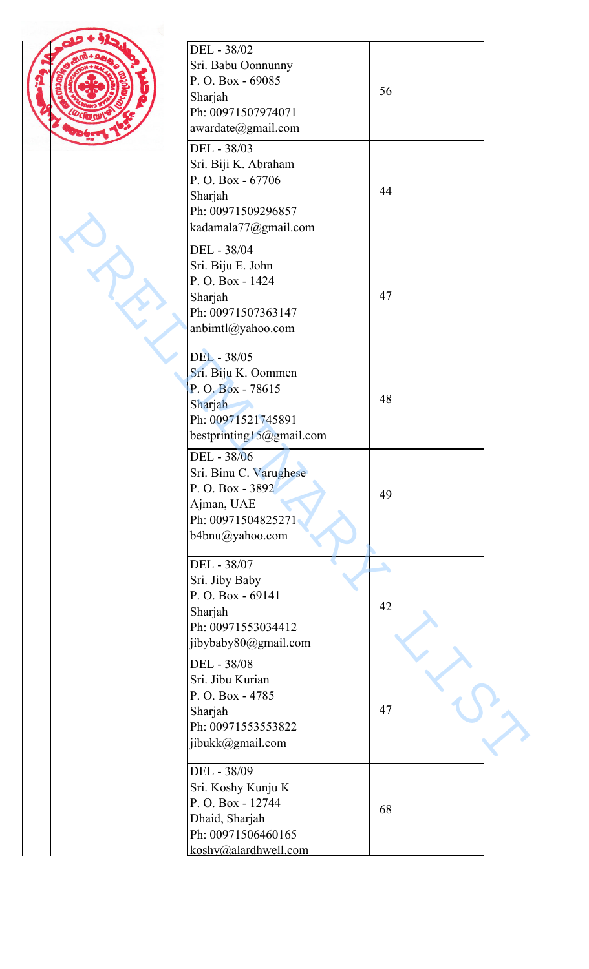| ٠ |
|---|
| ٠ |
|   |

| DEL - 38/02<br>Sri. Babu Oonnunny<br>P.O.Box - 69085<br>Sharjah<br>Ph: 00971507974071<br>awardate@gmail.com           | 56      |  |
|-----------------------------------------------------------------------------------------------------------------------|---------|--|
| DEL - 38/03<br>Sri. Biji K. Abraham<br>P.O. Box - 67706<br>Sharjah<br>Ph: 00971509296857<br>kadamala77@gmail.com      | 44      |  |
| DEL - 38/04<br>Sri. Biju E. John<br>P.O. Box - 1424<br>Sharjah<br>Ph: 00971507363147<br>anbimtl@yahoo.com             | 47      |  |
| DEL - 38/05<br>Sri. Biju K. Oommen<br>P.O.Box - 78615<br>Sharjah<br>Ph: 00971521745891<br>bestprinting15@gmail.com    | 48      |  |
| DEL - 38/06<br>Sri. Binu C. Varughese<br>P.O. Box - 3892<br>Ajman, UAE<br>Ph: 00971504825271<br>b4bnu@yahoo.com       | 49      |  |
| DEL - 38/07<br>Sri. Jiby Baby<br>P.O. Box - 69141<br>Sharjah<br>Ph: 00971553034412<br>jibybaby80@gmail.com            | ۸<br>42 |  |
| DEL - 38/08<br>Sri. Jibu Kurian<br>P.O. Box - 4785<br>Sharjah<br>Ph: 00971553553822<br>jibukk@gmail.com               | 47      |  |
| DEL - 38/09<br>Sri. Koshy Kunju K<br>P.O. Box - 12744<br>Dhaid, Sharjah<br>Ph: 00971506460165<br>koshy@alardhwell.com | 68      |  |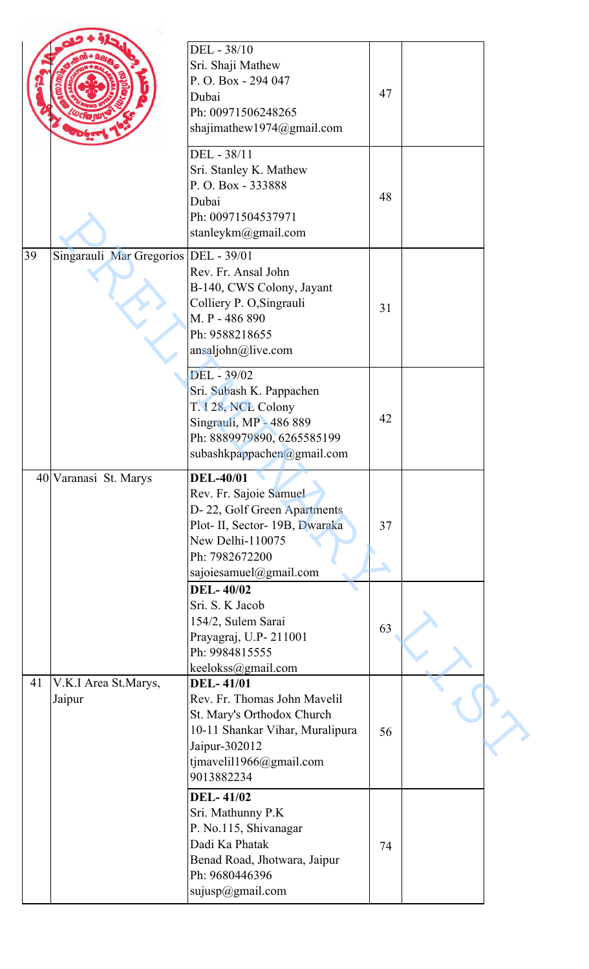|    |                                        | DEL - 38/10<br>Sri. Shaji Mathew<br>P.O. Box - 294 047<br>Dubai<br>Ph: 00971506248265<br>shajimathew1974@gmail.com                                                          | 47 |  |
|----|----------------------------------------|-----------------------------------------------------------------------------------------------------------------------------------------------------------------------------|----|--|
|    |                                        | DEL - 38/11<br>Sri. Stanley K. Mathew<br>P.O.Box - 333888<br>Dubai<br>Ph: 00971504537971<br>stanleykm@gmail.com                                                             | 48 |  |
| 39 | Singarauli Mar Gregorios   DEL - 39/01 | Rev. Fr. Ansal John<br>B-140, CWS Colony, Jayant<br>Colliery P. O, Singrauli<br>M. P - 486 890<br>Ph: 9588218655<br>ansaljohn@live.com                                      | 31 |  |
|    |                                        | DEL - 39/02<br>Sri. Subash K. Pappachen<br>T. I 28, NCL Colony<br>Singrauli, MP - 486 889<br>Ph: 8889979890, 6265585199<br>subashkpappachen@gmail.com                       | 42 |  |
|    | 40 Varanasi St. Marys                  | <b>DEL-40/01</b><br>Rev. Fr. Sajoie Samuel<br>D-22, Golf Green Apartments<br>Plot- II, Sector- 19B, Dwaraka<br>New Delhi-110075<br>Ph: 7982672200<br>sajoiesamuel@gmail.com | 37 |  |
|    |                                        | <b>DEL-40/02</b><br>Sri. S. K Jacob<br>154/2, Sulem Sarai<br>Prayagraj, U.P-211001<br>Ph: 9984815555<br>keelokss@gmail.com                                                  | 63 |  |
| 41 | V.K.I Area St.Marys,<br>Jaipur         | <b>DEL-41/01</b><br>Rev. Fr. Thomas John Mavelil<br>St. Mary's Orthodox Church<br>10-11 Shankar Vihar, Muralipura<br>Jaipur-302012<br>tjmavelil1966@gmail.com<br>9013882234 | 56 |  |
|    |                                        | <b>DEL-41/02</b><br>Sri. Mathunny P.K<br>P. No.115, Shivanagar<br>Dadi Ka Phatak<br>Benad Road, Jhotwara, Jaipur<br>Ph: 9680446396<br>sujusp@gmail.com                      | 74 |  |